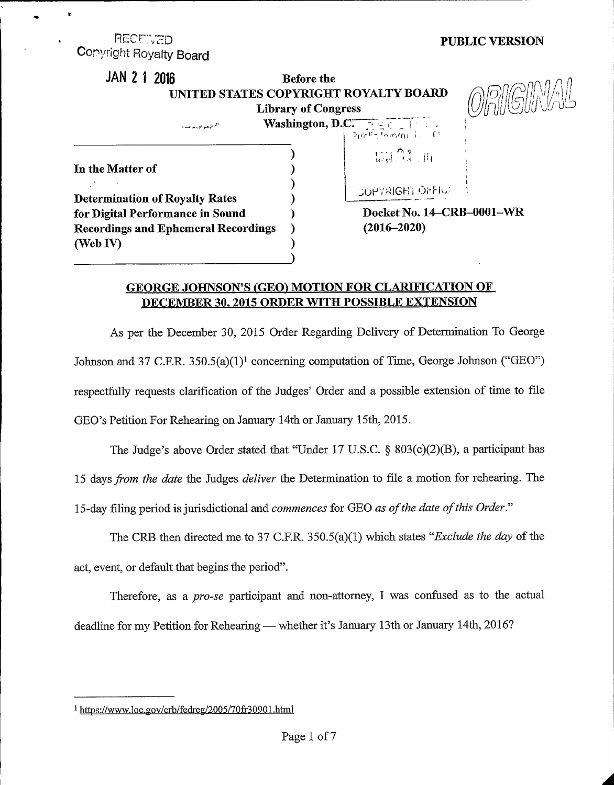## RECEWED Copyright Royalty Board

×

## JAN 2 1 2016 Before the UNITED STATES COPYRIGHT ROYALTY BOARD  $\text{Ob}(\text{Cov})$ Library of Congress  $\sum_{n \in \mathbb{Z}}$  washington, D.C. 3 ( <sup>r</sup> i" <sup>I</sup> <sup>~</sup> rr,.Q pre **WATER**



PUBLIC VERSION

In the Matter of ) ) ) Determination of Royalty Rates (a) for Digital Performance in Sound ) Recordings and Ephemeral Recordings )  $(Web IV)$ 

| No. 14–CRB–0001–WR (2016-2020)

SOPYRIGHT OFFILI

I

## GEORGE JOHNSON'S (GEO) MOTION FOR CLARIFICATION OF DECEMBER 30, 2015 ORDER WITH POSSIBLE EXTENSION

)

As per the December 30, 2015 Order Regarding Delivery of Determination To George Johnson and 37 C.F.R. 350.5(a)(1)<sup>1</sup> concerning computation of Time, George Johnson ("GEO") respectfully requests clarification of the Judges' Order and a possible extension of time to file GEO's Petition For Rehearing on January 14th or January 15th, 2015.

The Judge's above Order stated that "Under 17 U.S.C. \$ 803(c)(2)(B), a participant has

15 days from the date the Judges deliver the Determination to file a motion for rehearing. The

15-day filing period is jurisdictional and *commences* for GEO as of the date of this Order."

The CRB then directed me to 37 C.F.R.  $350.5(a)(1)$  which states "*Exclude the day* of the act, event, or default that begins the period".

Therefore, as a pro-se participant and non-attorney, I was confused as to the actual deadline for my Petition for Rehearing — whether it's January 13th or January 14th, 2016?

<sup>&</sup>lt;sup>1</sup> https://www.loc.gov/crb/fedreg/2005/70fr30901.html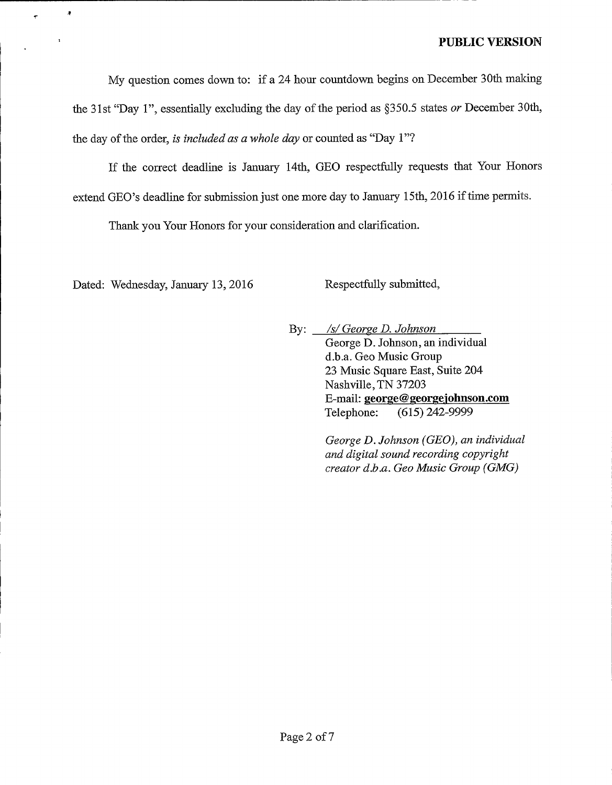My question comes down to: if a 24 hour countdown begins on December 30th making the 31st "Day 1", essentially excluding the day of the period as  $\S 350.5$  states or December 30th, the day of the order, is included as a whole day or counted as "Day  $1"$ ?

If the correct deadline is January 14th, GEO respectfully requests that Your Honors extend GEO's deadline for submission just one more day to January 15th, 2016 if time permits.

Thank you Your Honors for your consideration and clarification.

Dated: Wednesday, January 13, 2016 Respectfully submitted,

À

 $\overline{\tau}$ 

By: */s/ George D. Johnson* George D. Johnson, an individual d.b.a. Geo Music Group 23 Music Square East, Suite 204 Nashville, TN 37203 E-mail: george@georgejohnson.com Telephone: (615) 242-9999

> George D. Johnson (GEO), an individual and digital sound recording copyright creator d.b.a. Geo Music Group (GMG)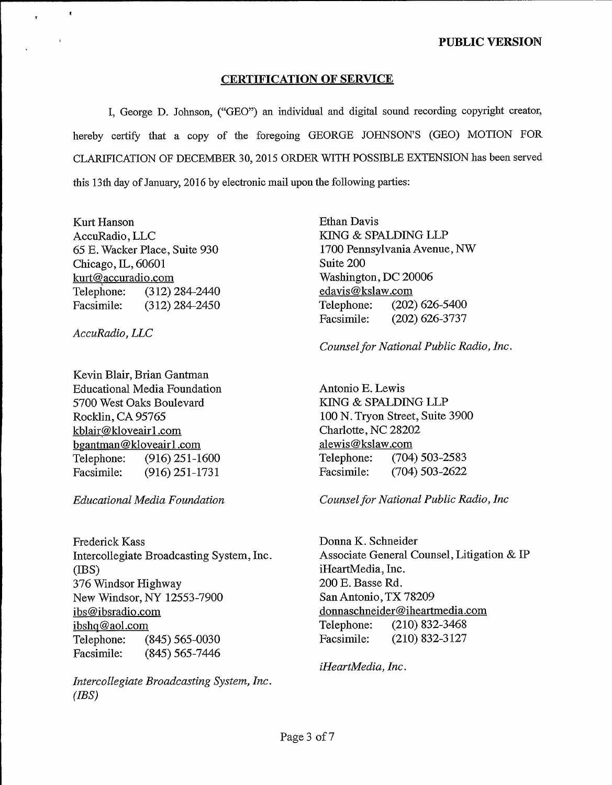## CERTIFICATION OF SERVICE

I, George D. Johnson, ("GEO") an individual and digital sound recording copyright creator, hereby certify that a copy of the foregoing GEORGE JOHNSON'S (GEO) MOTION FOR CLARIFICATION OF DECEMBER 30, 2015 ORDER WITH POSSIBLE EXTENSION has been served this 13th day of January, 2016 by electronic mail upon the following parties:

Kurt Hanson AccuRadio, LLC 65 E. Wacker Place, Suite 930 Chicago, IL, 60601 kurt@accuradio.com Telephone: (312) 284-2440<br>Facsimile: (312) 284-2450  $(312)$  284-2450

AccuRadio, LLC

 $\,$   $\,$ 

 $\mathbf{x}$ 

Kevin Blair, Brian Gantman Educational Media Foundation 5700 West Oaks Boulevard Rocklin, CA 95765 kblair@kloveair1.com bgantman@kloveairl.corn Telephone: (916) 251-1600 Facsimile: (916) 251-1731

Frederick Kass Intercollegiate Broadcasting System, Inc. (IBS) 376 Windsor Highway New Windsor, NY 12553-7900 ibs@ibsradio.com ibshq@aol.com Telephone: (845) 565-0030 Facsimile: (845) 565-7446

Intercollegiate Broadcasting System, Inc. (IBS)

Ethan Davis KING & SPALDING LLP 1700 PennsylvaniaAvenue, NW Suite 200 Washington, DC 20006 edavis@kslaw.com Telephone: (202) 626-5400 Facsimile: (202) 626-3737

Counsel for National Public Radio, Inc.

Antonio E. Lewis KING & SPALDING LLP 100 N. Tryon Street, Suite 3900 Charlotte, NC 28202 alewis@kslaw.com Telephone: (704) 503-2583 Facsimile: (704) 503-2622

Educational Media Foundation Counselfor National Public Radio, Inc

Donna K. Schneider Associate General Counsel, Litigation  $&$  IP iHeartMedia, Inc. 200 E. Basse Rd. San Antonio, TX 78209 donnaschneider@iheartmedia.com Telephone: (210) 832-3468 Facsimile: (210) 832-3127

iHeartMedia, Inc.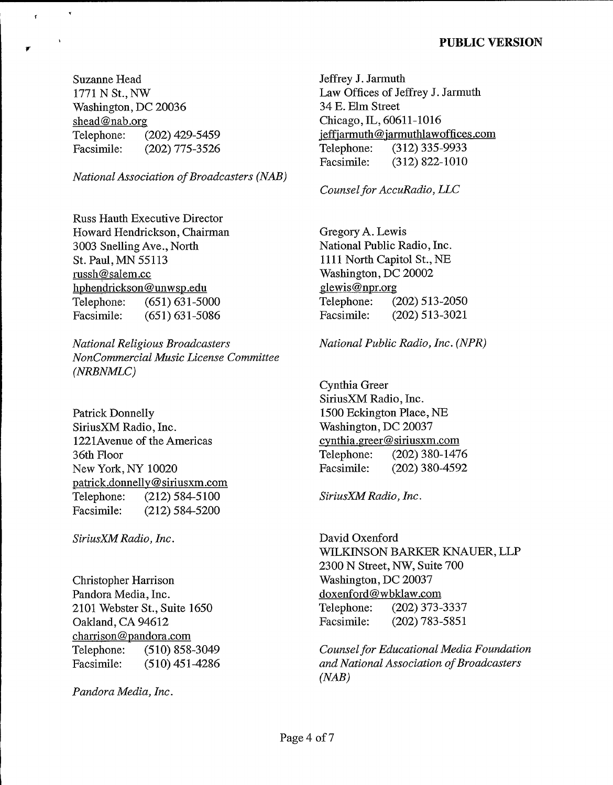Suzanne Head 1771 N St., NW Washington, DC 20036 shead@nab.org Telephone: (202) 429-5459<br>Facsimile: (202) 775-3526 (202) 775-3526

 $\mathbf r$ 

National Association of Broadcasters (NAB)

Russ Hauth Executive Director Howard Hendrickson, Chairman 3003 Snelling Ave., North St. Paul, MN 55113 russh@salem.cc hphendrickson@unwsp.edu Telephone: (651) 631-5000<br>Facsimile: (651) 631-5086  $(651) 631 - 5086$ 

National Religious Broadcasters NonCommercial Music License Committee (NRBNMLC)

Patrick Donnelly SiriusXM Radio, Inc. 1221Avenue of the Americas 36th Floor New York, NY 10020 patrick.donnellv@siriusxm.corn Telephone: (212) 584-5100 Facsimile: (212) 584-5200

SiriusXM Radio, Inc.

Christopher Harrison Pandora Media, Inc. 2101 Webster St., Suite 1650 Oakland, CA 94612 charrison@pandora.com Telephone: (510) 858-3049 Facsimile: (510) 451-4286

Pandora Media, Inc.

Jeffrey J. Jarmuth Law Offices of Jeffrey J. Jarmuth 34 E. Elm Street Chicago, IL, 60611-1016 jeffjarmuth@jarmuthlawoffices.com Telephone: (312) 335-9933 Facsimile: (312) 822-1010

Counsel for AccuRadio, LLC

Gregory A. Lewis National Public Radio, Inc. 1111 North Capitol St., NE Washington, DC 20002 alewis@npr.org Telephone: (202) 513-2050 Facsimile: (202) 513-3021

National Public Radio, Inc. (NPR)

Cynthia Greer SiriusXM Radio, Inc. 1500 Eckington Place, NE Washington, DC 20037 cynthia.greer@siriusxm.com Telephone: (202) 380-1476 Facsimile: (202) 380-4592

SiriusXM Radio, Inc.

David Oxenford WILKINSON BARKER KNAUER, LLP 2300 N Street, NW, Suite 700 Washington, DC 20037 doxenford@wbklaw.com Telephone: (202) 373-3337 Facsimile: (202) 783-5851

Counsel for Educational Media Foundation and National Association of Broadcasters (NAB)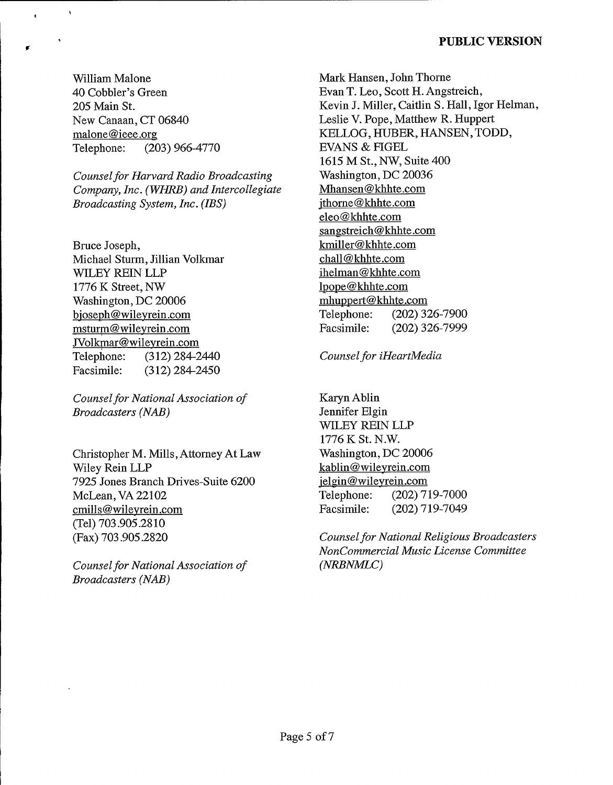William Malone 40 Cobbler's Green 205 Main St. New Canaan, CT 06840 malone@ieee.org Telephone: (203) 966-4770

 $\hat{\mathbf{r}}$ 

Counsel for Harvard Radio Broadcasting Company, Inc. (WHRB) and Intercollegiate Broadcasting System, Inc. (IBS)

Bruce Joseph, Michael Sturm, Jillian Volkmar WILEY REIN LLP 1776 K Street, NW Washington, DC 20006 bioseph@wileyrein.com msturm@wilevrein.corn JVolkmar@wileyrein.com Telephone: (312) 284-2440 Facsimile: (312) 284-2450

Counsel for National Association of Broadcasters (NAB)

Christopher M. Mills,Attorney At Law Wiley Rein LLP 7925 Jones Branch Drives-Suite 6200 McLean, VA 22102 cmills@wilevrein.corn (Tel) 703.905.2810 (Fax) 703.905.2820

Counsel for National Association of Broadcasters (NAB)

Mark Hansen, John Thorne Evan T. Leo, Scott H. Angstreich, Kevin J. Miller, Caitlin S. Hall, Igor Helman, Leslie V. Pope, Matthew R. Huppert KELLOG, HUBER, HANSEN, TODD, EVANS & FIGEL 1615 M St., NW, Suite 400 Washington, DC 20036 Mhansen@khhte.corn ithorne@khhte.com eleo@khhte.corn sangstreich@khhte.com kmiller@khhte.com chall@khhte.com ihelman@khhte.corn lpope@khhte.com mhuopert@khhte.corn Telephone: (202) 326-7900<br>Facsimile: (202) 326-7999 (202) 326-7999

Counsel for iHeartMedia

KarynAblin Jennifer Elgin WILEY REIN LLP 1776 K St. N.W.  $k^{17}$  or  $k^{11}$ . N.W. Washington, DC 20006 kablin@wileyrein.com ielgin@wileyrein.com Telephone: (202) 719-7000 Facsimile: (202) 719-7049

Counsel for National Religious Broadcasters NonCommercial Music License Committee (NRBNMLC)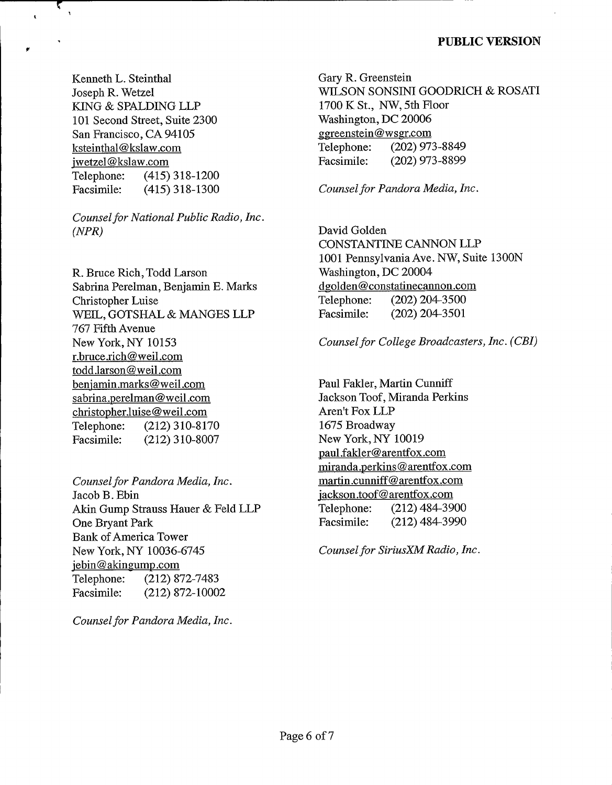Kenneth L. Steinthal Joseph R. Wetzel KING & SPALDING LLP 101 Second Street, Suite 2300 San Francisco, CA <sup>94105</sup> ksteinthal@kslaw.corn iwetzel@kslaw.com Telephone: (415) 318-1200<br>Facsimile: (415) 318-1300  $(415)$  318-1300

ī,  $\overline{\mathbf{r}}$ 

 $\ddot{\phantom{a}}$ 

Counsel for National Public Radio, Inc. (NPR)

R. Bruce Rich, Todd Larson Sabrina Perelman, Benjamin E. Marks Christopher Luise WEIL, GOTSHAL & MANGES LLP 767 Fifth Avenue New York, NY 10153 r.bruce.rich@weil.corn todd.larson@weil.corn beniamin.marks@weil.corn sabrina.perelman@weil.com christopher.luise@weil.corn Telephone: (212) 310-8170 Facsimile: (212) 310-8007

Counsel for Pandora Media, Inc. Jacob B. Ebin Akin Gump Strauss Hauer & Feld LLP One Bryant Park Bank of America Tower New York, NY 10036-6745 jebin@akingump.com Telephone: (212) 872-7483 Facsimile: (212) 872-10002

Counsel for Pandora Media, Inc.

Gary R. Greenstein WILSON SONSINI GOODRICH & ROSATI 1700 K St., NW, 5th Floor Washington, DC 20006 ggreenstein@wser.corn Telephone: (202) 973-8849 Facsimile: (202) 973-8899

Counsel for Pandora Media, Inc.

David Golden CONSTANTINE CANNON LLP 1001 Pennsylvania Ave. NW, Suite 1300N Washington, DC 20004 dgolden@constatinecannon.corn Telephone: (202) 204-3500 Facsimile: (202) 204-3501

Counsel for College Broadcasters, Inc. (CBI)

Paul Fakler, Martin Cunniff Jackson Toof, Miranda Perkins Aren't Fox LLP 1675 Broadway New York, NY 10019 paul.fakler@arentfox.com miranda.perkins@arentfox.corn martin.cunniff@arentfox.corn jackson.toof@arentfox.com Telephone: (212) 484-3900 Facsimile: (212) 484-3990

Counsel for SiriusXM Radio, Inc.